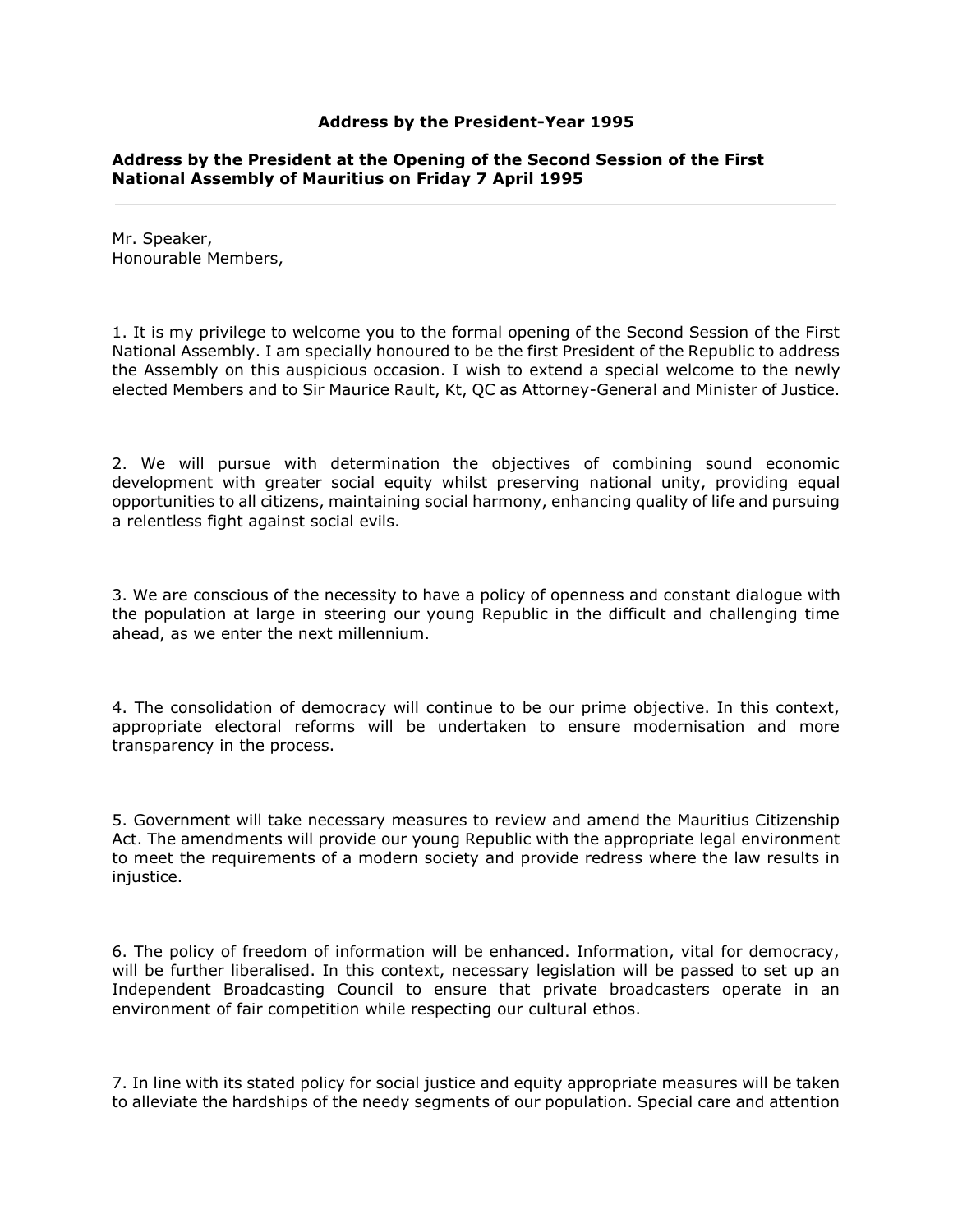### **Address by the President-Year 1995**

## **Address by the President at the Opening of the Second Session of the First National Assembly of Mauritius on Friday 7 April 1995**

Mr. Speaker, Honourable Members,

1. It is my privilege to welcome you to the formal opening of the Second Session of the First National Assembly. I am specially honoured to be the first President of the Republic to address the Assembly on this auspicious occasion. I wish to extend a special welcome to the newly elected Members and to Sir Maurice Rault, Kt, QC as Attorney-General and Minister of Justice.

2. We will pursue with determination the objectives of combining sound economic development with greater social equity whilst preserving national unity, providing equal opportunities to all citizens, maintaining social harmony, enhancing quality of life and pursuing a relentless fight against social evils.

3. We are conscious of the necessity to have a policy of openness and constant dialogue with the population at large in steering our young Republic in the difficult and challenging time ahead, as we enter the next millennium.

4. The consolidation of democracy will continue to be our prime objective. In this context, appropriate electoral reforms will be undertaken to ensure modernisation and more transparency in the process.

5. Government will take necessary measures to review and amend the Mauritius Citizenship Act. The amendments will provide our young Republic with the appropriate legal environment to meet the requirements of a modern society and provide redress where the law results in injustice.

6. The policy of freedom of information will be enhanced. Information, vital for democracy, will be further liberalised. In this context, necessary legislation will be passed to set up an Independent Broadcasting Council to ensure that private broadcasters operate in an environment of fair competition while respecting our cultural ethos.

7. In line with its stated policy for social justice and equity appropriate measures will be taken to alleviate the hardships of the needy segments of our population. Special care and attention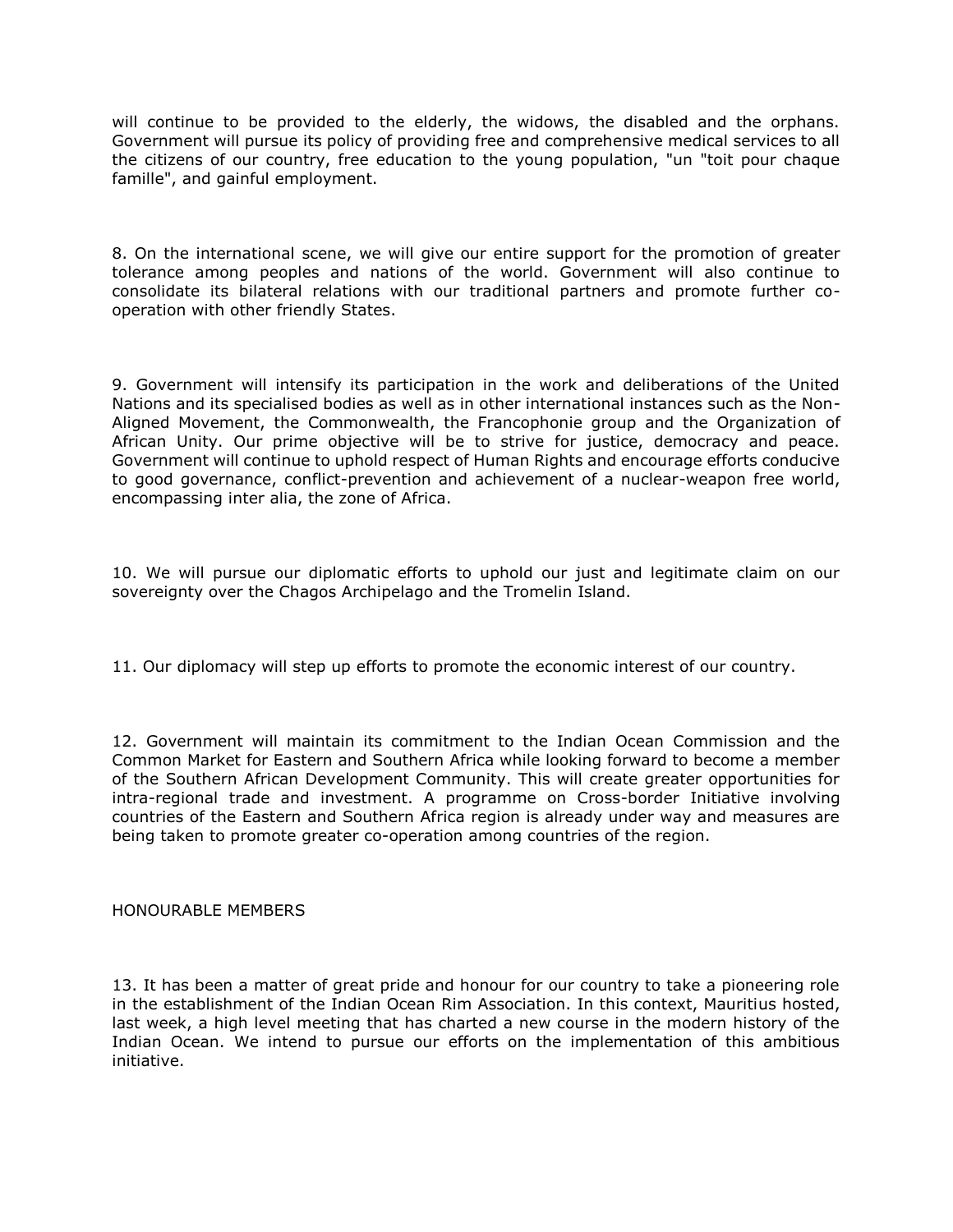will continue to be provided to the elderly, the widows, the disabled and the orphans. Government will pursue its policy of providing free and comprehensive medical services to all the citizens of our country, free education to the young population, "un "toit pour chaque famille", and gainful employment.

8. On the international scene, we will give our entire support for the promotion of greater tolerance among peoples and nations of the world. Government will also continue to consolidate its bilateral relations with our traditional partners and promote further cooperation with other friendly States.

9. Government will intensify its participation in the work and deliberations of the United Nations and its specialised bodies as well as in other international instances such as the Non-Aligned Movement, the Commonwealth, the Francophonie group and the Organization of African Unity. Our prime objective will be to strive for justice, democracy and peace. Government will continue to uphold respect of Human Rights and encourage efforts conducive to good governance, conflict-prevention and achievement of a nuclear-weapon free world, encompassing inter alia, the zone of Africa.

10. We will pursue our diplomatic efforts to uphold our just and legitimate claim on our sovereignty over the Chagos Archipelago and the Tromelin Island.

11. Our diplomacy will step up efforts to promote the economic interest of our country.

12. Government will maintain its commitment to the Indian Ocean Commission and the Common Market for Eastern and Southern Africa while looking forward to become a member of the Southern African Development Community. This will create greater opportunities for intra-regional trade and investment. A programme on Cross-border Initiative involving countries of the Eastern and Southern Africa region is already under way and measures are being taken to promote greater co-operation among countries of the region.

# HONOURABLE MEMBERS

13. It has been a matter of great pride and honour for our country to take a pioneering role in the establishment of the Indian Ocean Rim Association. In this context, Mauritius hosted, last week, a high level meeting that has charted a new course in the modern history of the Indian Ocean. We intend to pursue our efforts on the implementation of this ambitious initiative.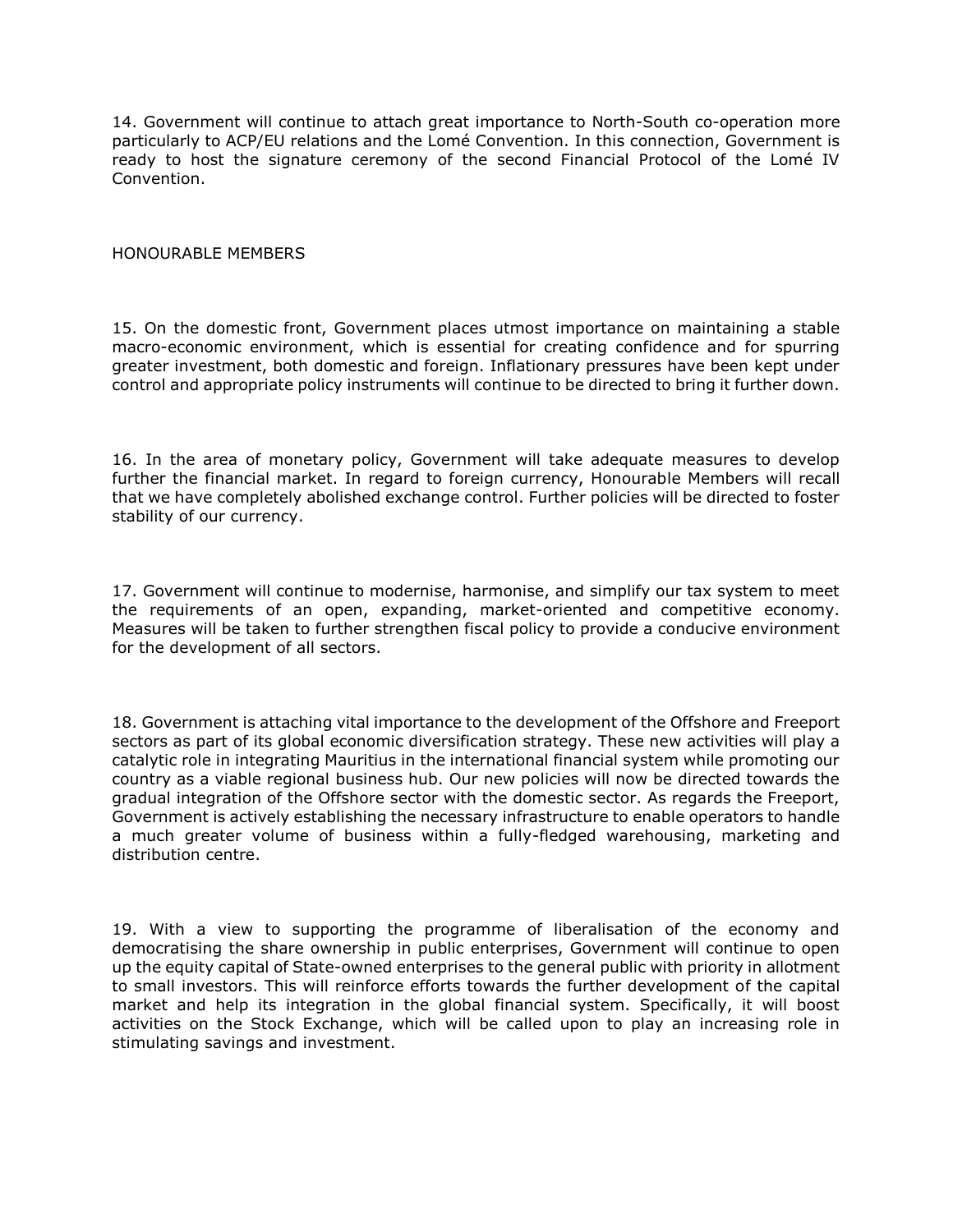14. Government will continue to attach great importance to North-South co-operation more particularly to ACP/EU relations and the Lomé Convention. In this connection, Government is ready to host the signature ceremony of the second Financial Protocol of the Lomé IV Convention.

## HONOURABLE MEMBERS

15. On the domestic front, Government places utmost importance on maintaining a stable macro-economic environment, which is essential for creating confidence and for spurring greater investment, both domestic and foreign. Inflationary pressures have been kept under control and appropriate policy instruments will continue to be directed to bring it further down.

16. In the area of monetary policy, Government will take adequate measures to develop further the financial market. In regard to foreign currency, Honourable Members will recall that we have completely abolished exchange control. Further policies will be directed to foster stability of our currency.

17. Government will continue to modernise, harmonise, and simplify our tax system to meet the requirements of an open, expanding, market-oriented and competitive economy. Measures will be taken to further strengthen fiscal policy to provide a conducive environment for the development of all sectors.

18. Government is attaching vital importance to the development of the Offshore and Freeport sectors as part of its global economic diversification strategy. These new activities will play a catalytic role in integrating Mauritius in the international financial system while promoting our country as a viable regional business hub. Our new policies will now be directed towards the gradual integration of the Offshore sector with the domestic sector. As regards the Freeport, Government is actively establishing the necessary infrastructure to enable operators to handle a much greater volume of business within a fully-fledged warehousing, marketing and distribution centre.

19. With a view to supporting the programme of liberalisation of the economy and democratising the share ownership in public enterprises, Government will continue to open up the equity capital of State-owned enterprises to the general public with priority in allotment to small investors. This will reinforce efforts towards the further development of the capital market and help its integration in the global financial system. Specifically, it will boost activities on the Stock Exchange, which will be called upon to play an increasing role in stimulating savings and investment.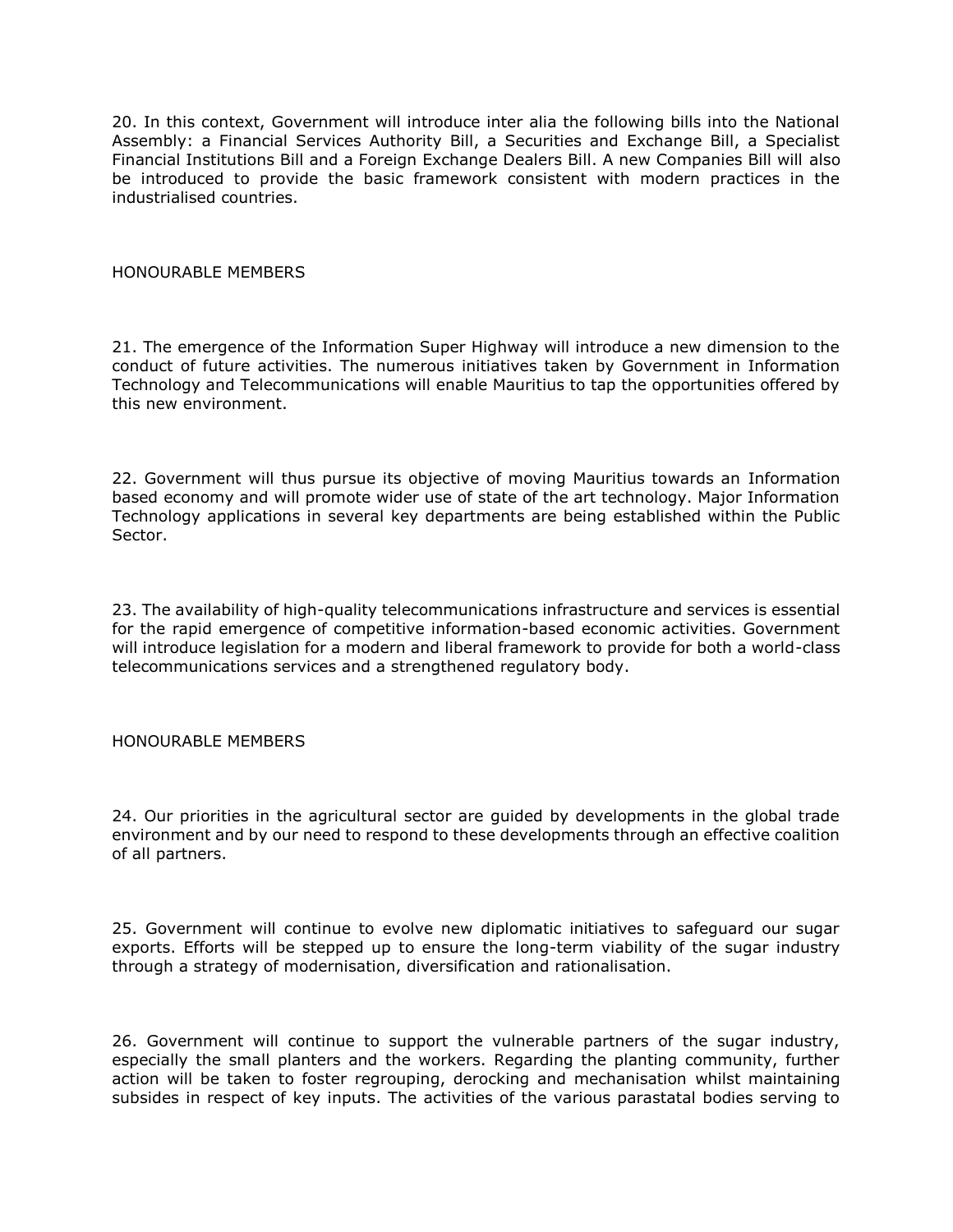20. In this context, Government will introduce inter alia the following bills into the National Assembly: a Financial Services Authority Bill, a Securities and Exchange Bill, a Specialist Financial Institutions Bill and a Foreign Exchange Dealers Bill. A new Companies Bill will also be introduced to provide the basic framework consistent with modern practices in the industrialised countries.

HONOURABLE MEMBERS

21. The emergence of the Information Super Highway will introduce a new dimension to the conduct of future activities. The numerous initiatives taken by Government in Information Technology and Telecommunications will enable Mauritius to tap the opportunities offered by this new environment.

22. Government will thus pursue its objective of moving Mauritius towards an Information based economy and will promote wider use of state of the art technology. Major Information Technology applications in several key departments are being established within the Public Sector.

23. The availability of high-quality telecommunications infrastructure and services is essential for the rapid emergence of competitive information-based economic activities. Government will introduce legislation for a modern and liberal framework to provide for both a world-class telecommunications services and a strengthened regulatory body.

HONOURABLE MEMBERS

24. Our priorities in the agricultural sector are guided by developments in the global trade environment and by our need to respond to these developments through an effective coalition of all partners.

25. Government will continue to evolve new diplomatic initiatives to safeguard our sugar exports. Efforts will be stepped up to ensure the long-term viability of the sugar industry through a strategy of modernisation, diversification and rationalisation.

26. Government will continue to support the vulnerable partners of the sugar industry, especially the small planters and the workers. Regarding the planting community, further action will be taken to foster regrouping, derocking and mechanisation whilst maintaining subsides in respect of key inputs. The activities of the various parastatal bodies serving to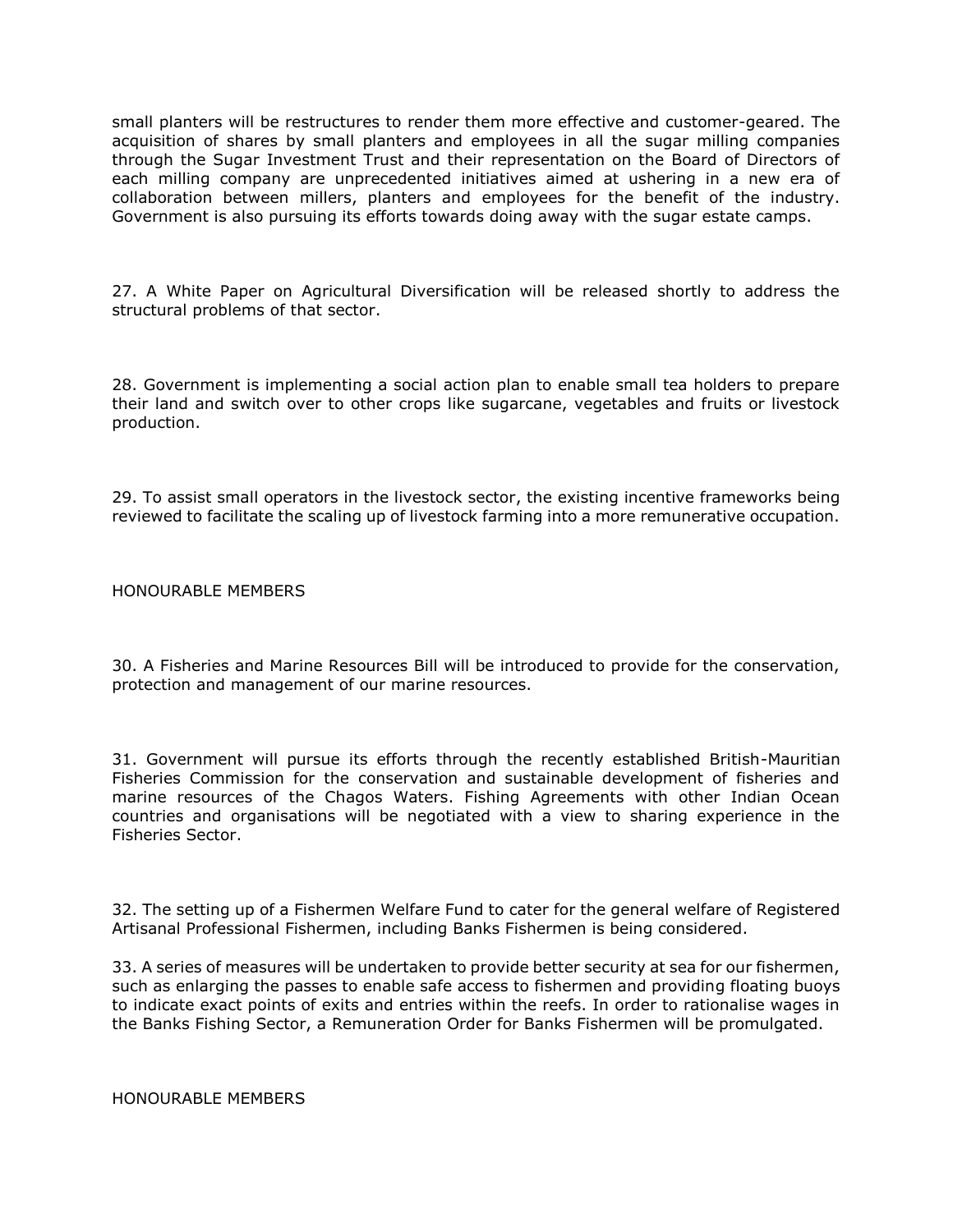small planters will be restructures to render them more effective and customer-geared. The acquisition of shares by small planters and employees in all the sugar milling companies through the Sugar Investment Trust and their representation on the Board of Directors of each milling company are unprecedented initiatives aimed at ushering in a new era of collaboration between millers, planters and employees for the benefit of the industry. Government is also pursuing its efforts towards doing away with the sugar estate camps.

27. A White Paper on Agricultural Diversification will be released shortly to address the structural problems of that sector.

28. Government is implementing a social action plan to enable small tea holders to prepare their land and switch over to other crops like sugarcane, vegetables and fruits or livestock production.

29. To assist small operators in the livestock sector, the existing incentive frameworks being reviewed to facilitate the scaling up of livestock farming into a more remunerative occupation.

HONOURABLE MEMBERS

30. A Fisheries and Marine Resources Bill will be introduced to provide for the conservation, protection and management of our marine resources.

31. Government will pursue its efforts through the recently established British-Mauritian Fisheries Commission for the conservation and sustainable development of fisheries and marine resources of the Chagos Waters. Fishing Agreements with other Indian Ocean countries and organisations will be negotiated with a view to sharing experience in the Fisheries Sector.

32. The setting up of a Fishermen Welfare Fund to cater for the general welfare of Registered Artisanal Professional Fishermen, including Banks Fishermen is being considered.

33. A series of measures will be undertaken to provide better security at sea for our fishermen, such as enlarging the passes to enable safe access to fishermen and providing floating buoys to indicate exact points of exits and entries within the reefs. In order to rationalise wages in the Banks Fishing Sector, a Remuneration Order for Banks Fishermen will be promulgated.

HONOURABLE MEMBERS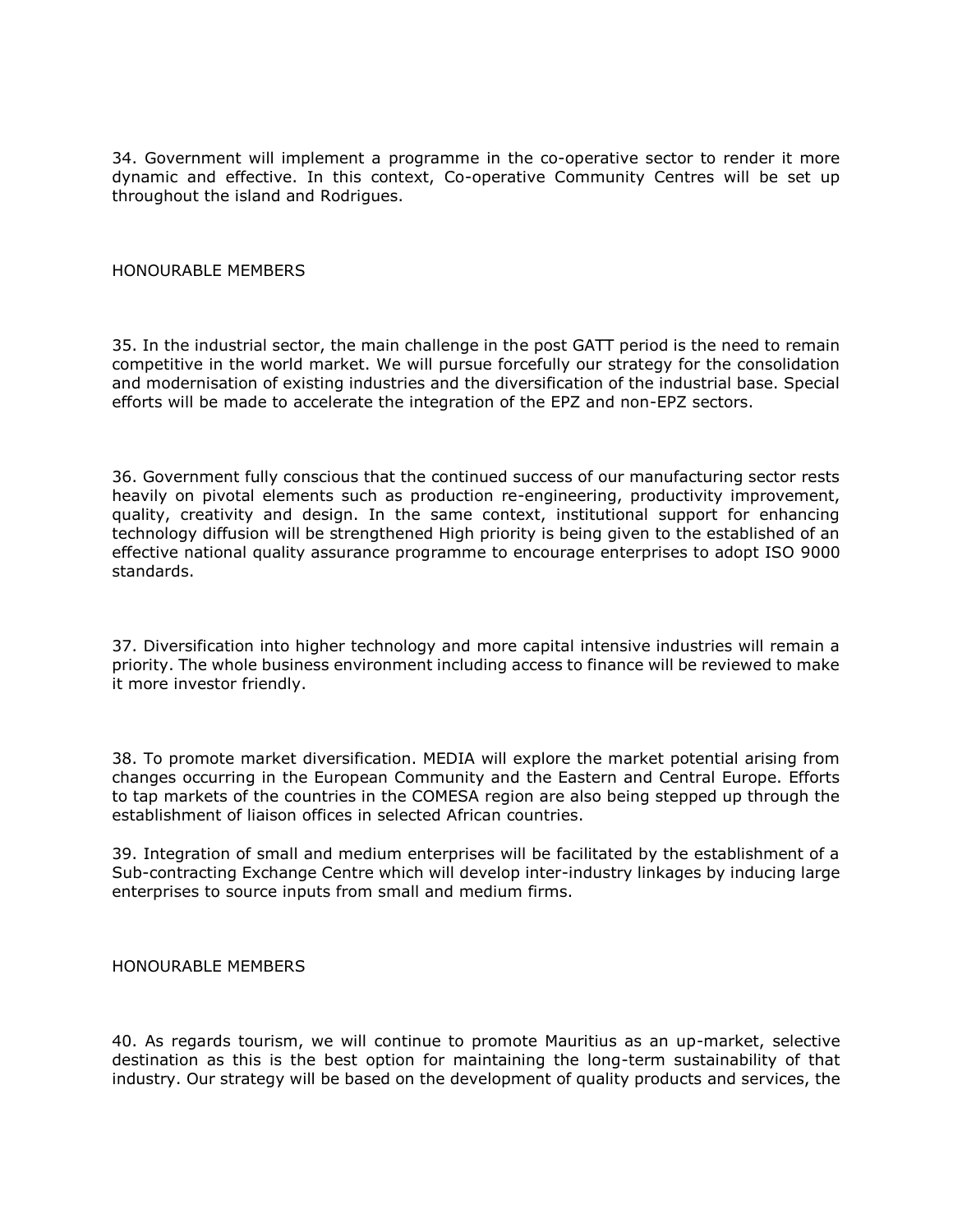34. Government will implement a programme in the co-operative sector to render it more dynamic and effective. In this context, Co-operative Community Centres will be set up throughout the island and Rodrigues.

### HONOURABLE MEMBERS

35. In the industrial sector, the main challenge in the post GATT period is the need to remain competitive in the world market. We will pursue forcefully our strategy for the consolidation and modernisation of existing industries and the diversification of the industrial base. Special efforts will be made to accelerate the integration of the EPZ and non-EPZ sectors.

36. Government fully conscious that the continued success of our manufacturing sector rests heavily on pivotal elements such as production re-engineering, productivity improvement, quality, creativity and design. In the same context, institutional support for enhancing technology diffusion will be strengthened High priority is being given to the established of an effective national quality assurance programme to encourage enterprises to adopt ISO 9000 standards.

37. Diversification into higher technology and more capital intensive industries will remain a priority. The whole business environment including access to finance will be reviewed to make it more investor friendly.

38. To promote market diversification. MEDIA will explore the market potential arising from changes occurring in the European Community and the Eastern and Central Europe. Efforts to tap markets of the countries in the COMESA region are also being stepped up through the establishment of liaison offices in selected African countries.

39. Integration of small and medium enterprises will be facilitated by the establishment of a Sub-contracting Exchange Centre which will develop inter-industry linkages by inducing large enterprises to source inputs from small and medium firms.

HONOURABLE MEMBERS

40. As regards tourism, we will continue to promote Mauritius as an up-market, selective destination as this is the best option for maintaining the long-term sustainability of that industry. Our strategy will be based on the development of quality products and services, the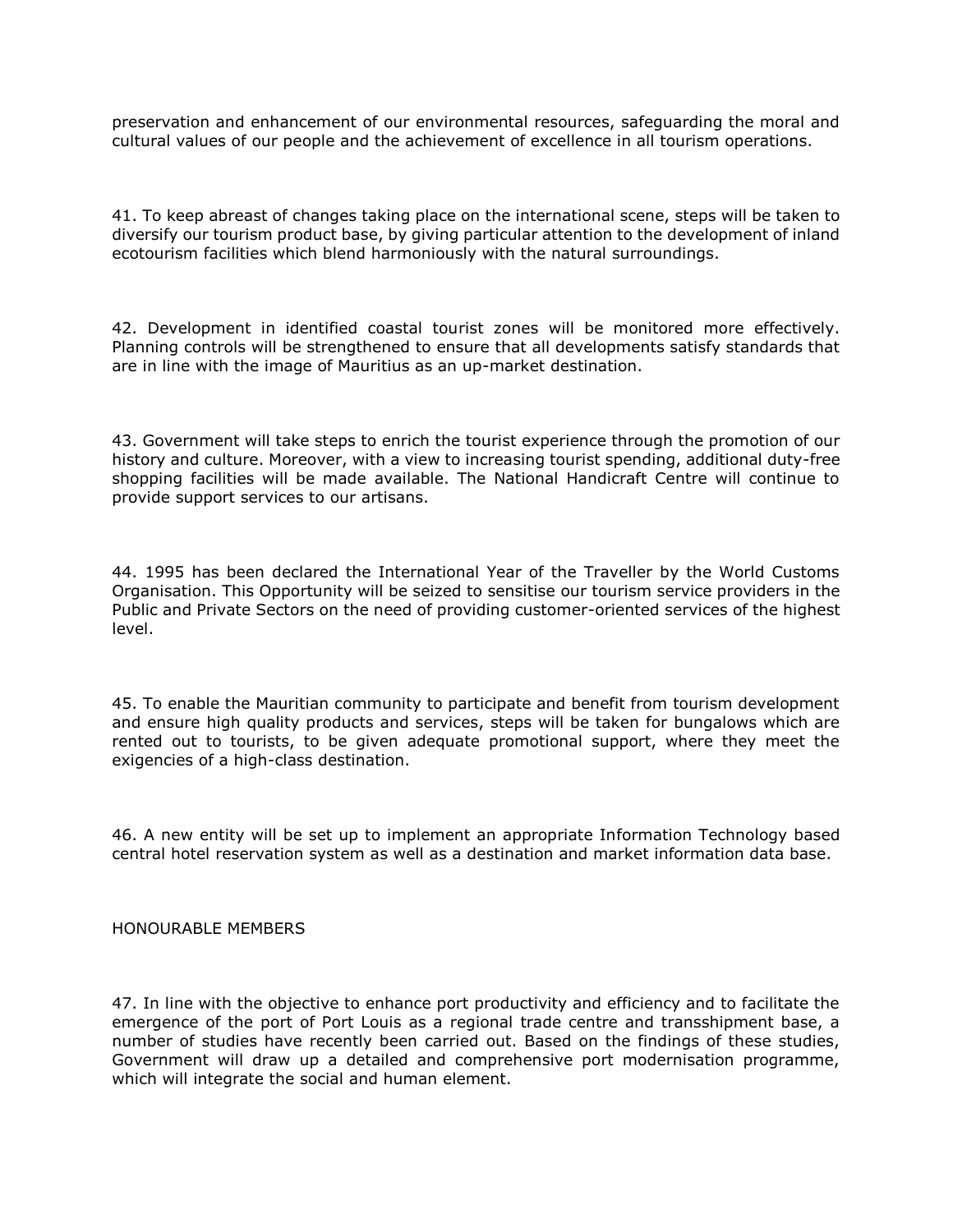preservation and enhancement of our environmental resources, safeguarding the moral and cultural values of our people and the achievement of excellence in all tourism operations.

41. To keep abreast of changes taking place on the international scene, steps will be taken to diversify our tourism product base, by giving particular attention to the development of inland ecotourism facilities which blend harmoniously with the natural surroundings.

42. Development in identified coastal tourist zones will be monitored more effectively. Planning controls will be strengthened to ensure that all developments satisfy standards that are in line with the image of Mauritius as an up-market destination.

43. Government will take steps to enrich the tourist experience through the promotion of our history and culture. Moreover, with a view to increasing tourist spending, additional duty-free shopping facilities will be made available. The National Handicraft Centre will continue to provide support services to our artisans.

44. 1995 has been declared the International Year of the Traveller by the World Customs Organisation. This Opportunity will be seized to sensitise our tourism service providers in the Public and Private Sectors on the need of providing customer-oriented services of the highest level.

45. To enable the Mauritian community to participate and benefit from tourism development and ensure high quality products and services, steps will be taken for bungalows which are rented out to tourists, to be given adequate promotional support, where they meet the exigencies of a high-class destination.

46. A new entity will be set up to implement an appropriate Information Technology based central hotel reservation system as well as a destination and market information data base.

HONOURABLE MEMBERS

47. In line with the objective to enhance port productivity and efficiency and to facilitate the emergence of the port of Port Louis as a regional trade centre and transshipment base, a number of studies have recently been carried out. Based on the findings of these studies, Government will draw up a detailed and comprehensive port modernisation programme, which will integrate the social and human element.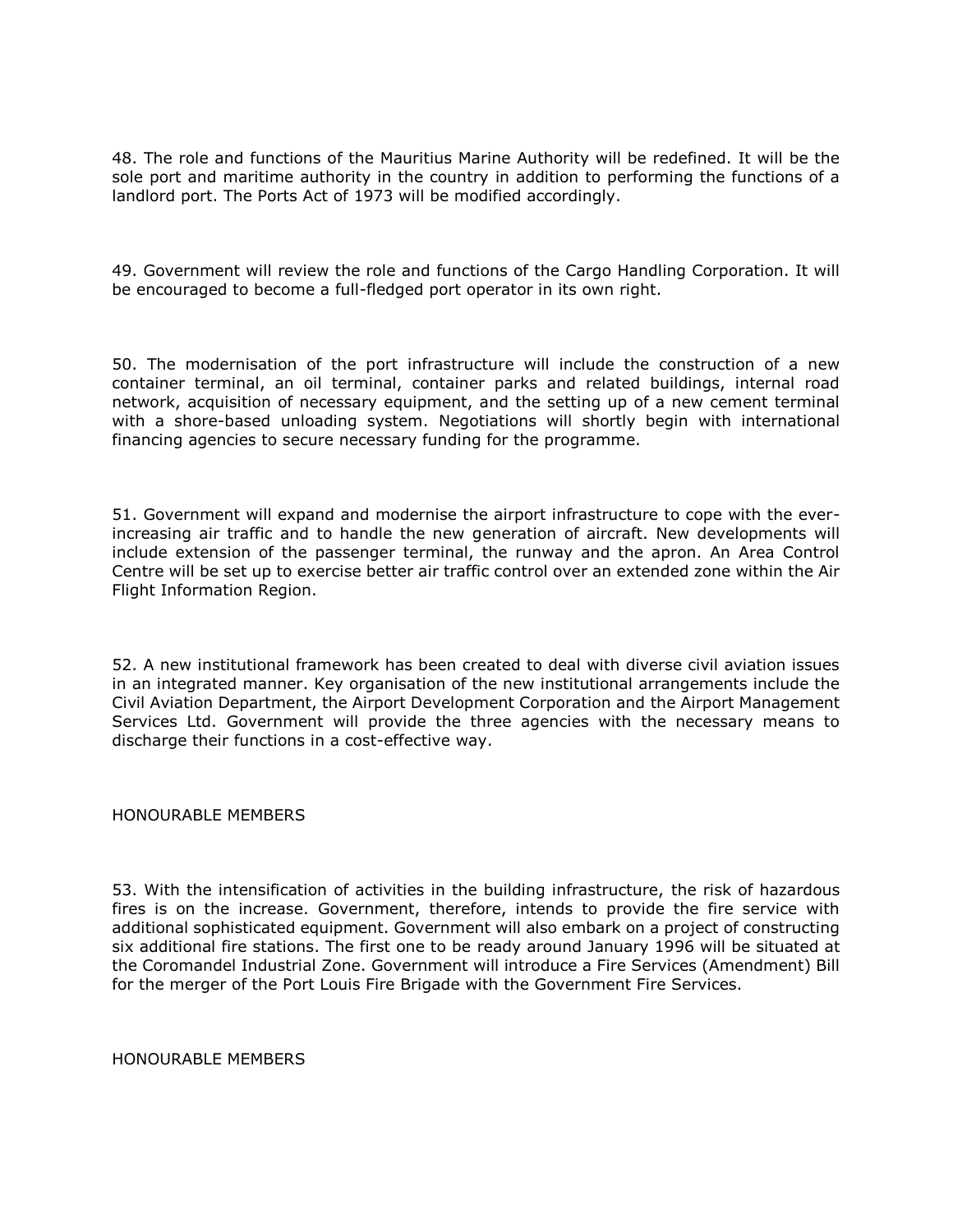48. The role and functions of the Mauritius Marine Authority will be redefined. It will be the sole port and maritime authority in the country in addition to performing the functions of a landlord port. The Ports Act of 1973 will be modified accordingly.

49. Government will review the role and functions of the Cargo Handling Corporation. It will be encouraged to become a full-fledged port operator in its own right.

50. The modernisation of the port infrastructure will include the construction of a new container terminal, an oil terminal, container parks and related buildings, internal road network, acquisition of necessary equipment, and the setting up of a new cement terminal with a shore-based unloading system. Negotiations will shortly begin with international financing agencies to secure necessary funding for the programme.

51. Government will expand and modernise the airport infrastructure to cope with the everincreasing air traffic and to handle the new generation of aircraft. New developments will include extension of the passenger terminal, the runway and the apron. An Area Control Centre will be set up to exercise better air traffic control over an extended zone within the Air Flight Information Region.

52. A new institutional framework has been created to deal with diverse civil aviation issues in an integrated manner. Key organisation of the new institutional arrangements include the Civil Aviation Department, the Airport Development Corporation and the Airport Management Services Ltd. Government will provide the three agencies with the necessary means to discharge their functions in a cost-effective way.

### HONOURABLE MEMBERS

53. With the intensification of activities in the building infrastructure, the risk of hazardous fires is on the increase. Government, therefore, intends to provide the fire service with additional sophisticated equipment. Government will also embark on a project of constructing six additional fire stations. The first one to be ready around January 1996 will be situated at the Coromandel Industrial Zone. Government will introduce a Fire Services (Amendment) Bill for the merger of the Port Louis Fire Brigade with the Government Fire Services.

HONOURABLE MEMBERS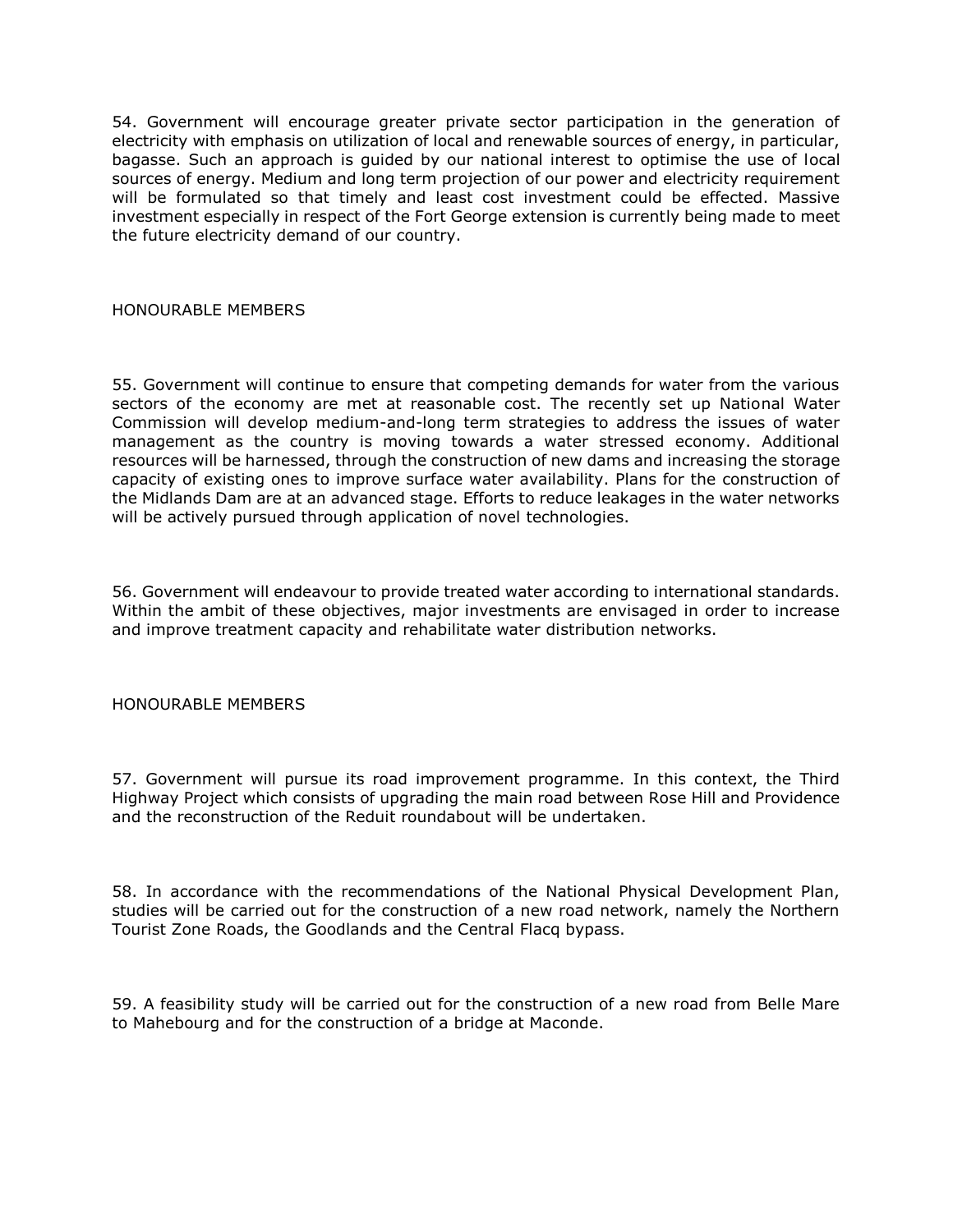54. Government will encourage greater private sector participation in the generation of electricity with emphasis on utilization of local and renewable sources of energy, in particular, bagasse. Such an approach is guided by our national interest to optimise the use of local sources of energy. Medium and long term projection of our power and electricity requirement will be formulated so that timely and least cost investment could be effected. Massive investment especially in respect of the Fort George extension is currently being made to meet the future electricity demand of our country.

## HONOURABLE MEMBERS

55. Government will continue to ensure that competing demands for water from the various sectors of the economy are met at reasonable cost. The recently set up National Water Commission will develop medium-and-long term strategies to address the issues of water management as the country is moving towards a water stressed economy. Additional resources will be harnessed, through the construction of new dams and increasing the storage capacity of existing ones to improve surface water availability. Plans for the construction of the Midlands Dam are at an advanced stage. Efforts to reduce leakages in the water networks will be actively pursued through application of novel technologies.

56. Government will endeavour to provide treated water according to international standards. Within the ambit of these objectives, major investments are envisaged in order to increase and improve treatment capacity and rehabilitate water distribution networks.

## HONOURABLE MEMBERS

57. Government will pursue its road improvement programme. In this context, the Third Highway Project which consists of upgrading the main road between Rose Hill and Providence and the reconstruction of the Reduit roundabout will be undertaken.

58. In accordance with the recommendations of the National Physical Development Plan, studies will be carried out for the construction of a new road network, namely the Northern Tourist Zone Roads, the Goodlands and the Central Flacq bypass.

59. A feasibility study will be carried out for the construction of a new road from Belle Mare to Mahebourg and for the construction of a bridge at Maconde.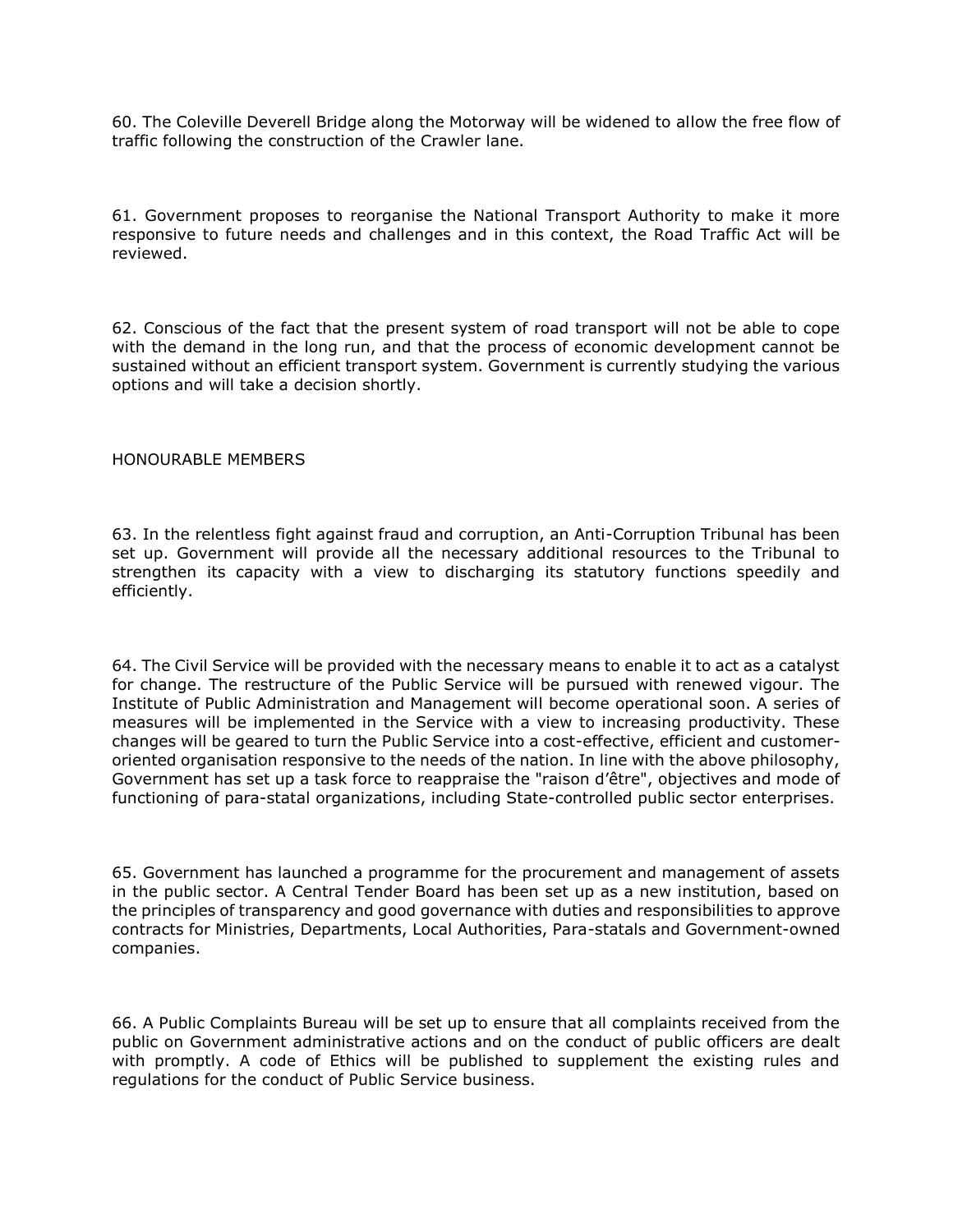60. The Coleville Deverell Bridge along the Motorway will be widened to allow the free flow of traffic following the construction of the Crawler lane.

61. Government proposes to reorganise the National Transport Authority to make it more responsive to future needs and challenges and in this context, the Road Traffic Act will be reviewed.

62. Conscious of the fact that the present system of road transport will not be able to cope with the demand in the long run, and that the process of economic development cannot be sustained without an efficient transport system. Government is currently studying the various options and will take a decision shortly.

#### HONOURABLE MEMBERS

63. In the relentless fight against fraud and corruption, an Anti-Corruption Tribunal has been set up. Government will provide all the necessary additional resources to the Tribunal to strengthen its capacity with a view to discharging its statutory functions speedily and efficiently.

64. The Civil Service will be provided with the necessary means to enable it to act as a catalyst for change. The restructure of the Public Service will be pursued with renewed vigour. The Institute of Public Administration and Management will become operational soon. A series of measures will be implemented in the Service with a view to increasing productivity. These changes will be geared to turn the Public Service into a cost-effective, efficient and customeroriented organisation responsive to the needs of the nation. In line with the above philosophy, Government has set up a task force to reappraise the "raison d'être", objectives and mode of functioning of para-statal organizations, including State-controlled public sector enterprises.

65. Government has launched a programme for the procurement and management of assets in the public sector. A Central Tender Board has been set up as a new institution, based on the principles of transparency and good governance with duties and responsibilities to approve contracts for Ministries, Departments, Local Authorities, Para-statals and Government-owned companies.

66. A Public Complaints Bureau will be set up to ensure that all complaints received from the public on Government administrative actions and on the conduct of public officers are dealt with promptly. A code of Ethics will be published to supplement the existing rules and regulations for the conduct of Public Service business.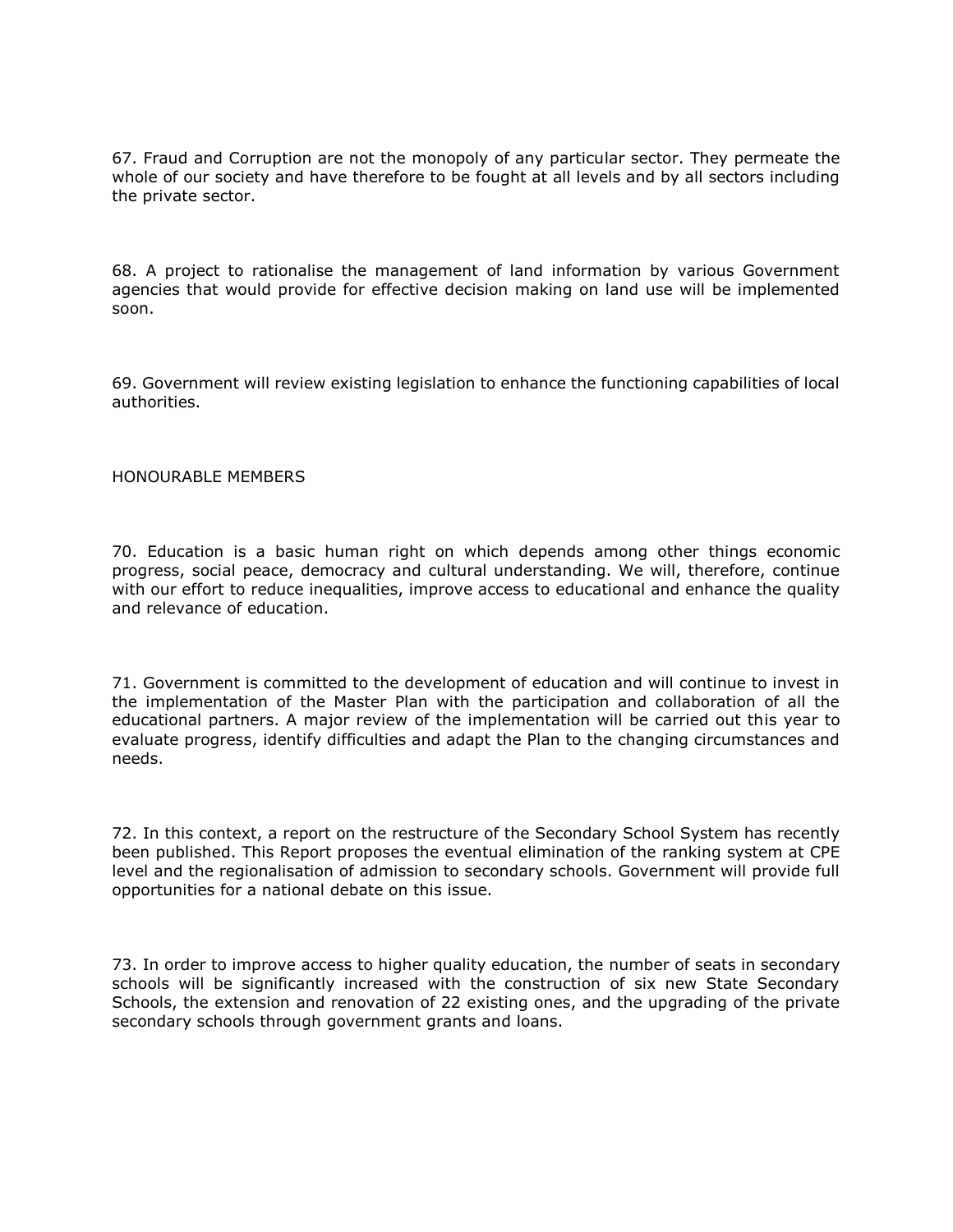67. Fraud and Corruption are not the monopoly of any particular sector. They permeate the whole of our society and have therefore to be fought at all levels and by all sectors including the private sector.

68. A project to rationalise the management of land information by various Government agencies that would provide for effective decision making on land use will be implemented soon.

69. Government will review existing legislation to enhance the functioning capabilities of local authorities.

### HONOURABLE MEMBERS

70. Education is a basic human right on which depends among other things economic progress, social peace, democracy and cultural understanding. We will, therefore, continue with our effort to reduce inequalities, improve access to educational and enhance the quality and relevance of education.

71. Government is committed to the development of education and will continue to invest in the implementation of the Master Plan with the participation and collaboration of all the educational partners. A major review of the implementation will be carried out this year to evaluate progress, identify difficulties and adapt the Plan to the changing circumstances and needs.

72. In this context, a report on the restructure of the Secondary School System has recently been published. This Report proposes the eventual elimination of the ranking system at CPE level and the regionalisation of admission to secondary schools. Government will provide full opportunities for a national debate on this issue.

73. In order to improve access to higher quality education, the number of seats in secondary schools will be significantly increased with the construction of six new State Secondary Schools, the extension and renovation of 22 existing ones, and the upgrading of the private secondary schools through government grants and loans.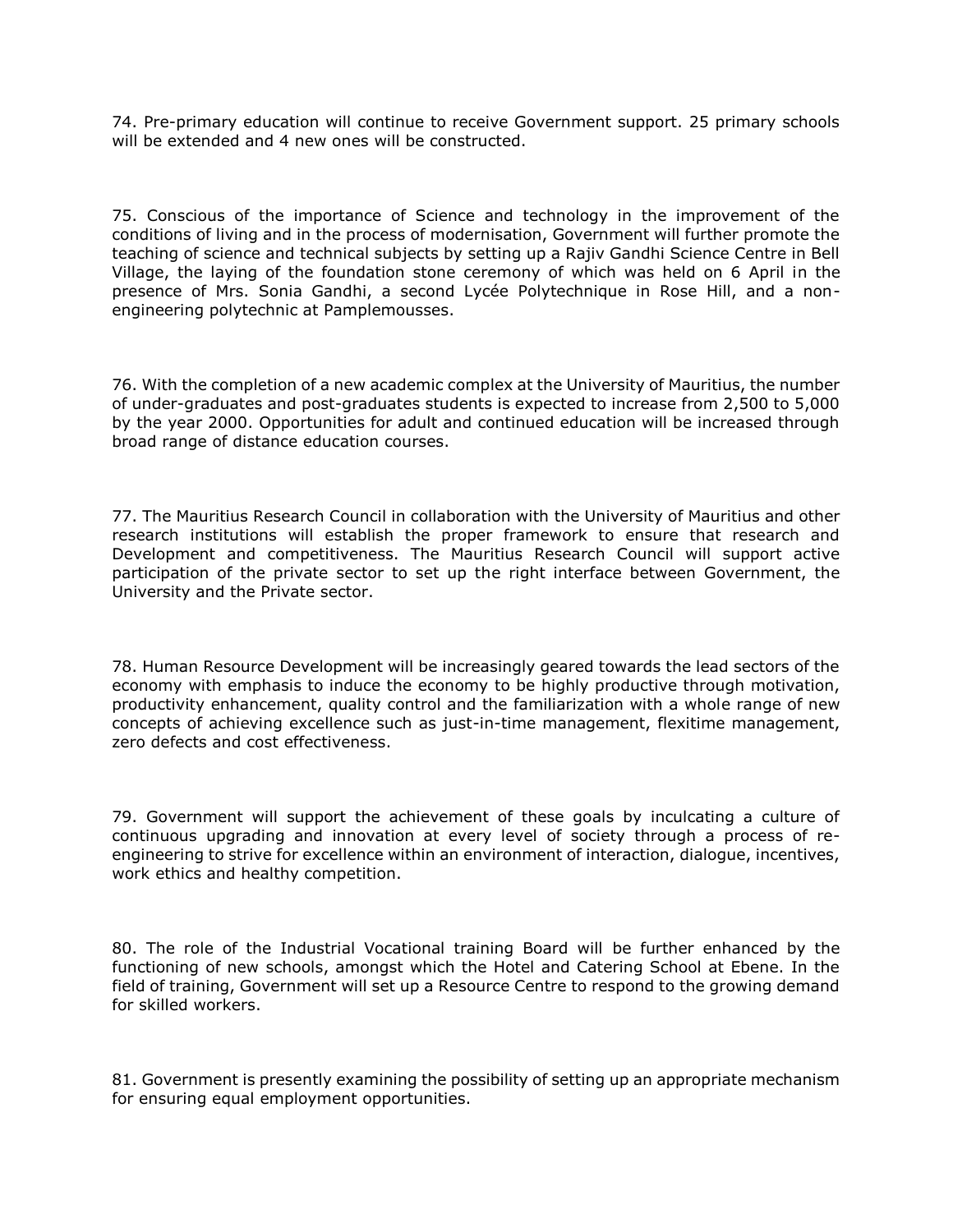74. Pre-primary education will continue to receive Government support. 25 primary schools will be extended and 4 new ones will be constructed.

75. Conscious of the importance of Science and technology in the improvement of the conditions of living and in the process of modernisation, Government will further promote the teaching of science and technical subjects by setting up a Rajiv Gandhi Science Centre in Bell Village, the laying of the foundation stone ceremony of which was held on 6 April in the presence of Mrs. Sonia Gandhi, a second Lycée Polytechnique in Rose Hill, and a nonengineering polytechnic at Pamplemousses.

76. With the completion of a new academic complex at the University of Mauritius, the number of under-graduates and post-graduates students is expected to increase from 2,500 to 5,000 by the year 2000. Opportunities for adult and continued education will be increased through broad range of distance education courses.

77. The Mauritius Research Council in collaboration with the University of Mauritius and other research institutions will establish the proper framework to ensure that research and Development and competitiveness. The Mauritius Research Council will support active participation of the private sector to set up the right interface between Government, the University and the Private sector.

78. Human Resource Development will be increasingly geared towards the lead sectors of the economy with emphasis to induce the economy to be highly productive through motivation, productivity enhancement, quality control and the familiarization with a whole range of new concepts of achieving excellence such as just-in-time management, flexitime management, zero defects and cost effectiveness.

79. Government will support the achievement of these goals by inculcating a culture of continuous upgrading and innovation at every level of society through a process of reengineering to strive for excellence within an environment of interaction, dialogue, incentives, work ethics and healthy competition.

80. The role of the Industrial Vocational training Board will be further enhanced by the functioning of new schools, amongst which the Hotel and Catering School at Ebene. In the field of training, Government will set up a Resource Centre to respond to the growing demand for skilled workers.

81. Government is presently examining the possibility of setting up an appropriate mechanism for ensuring equal employment opportunities.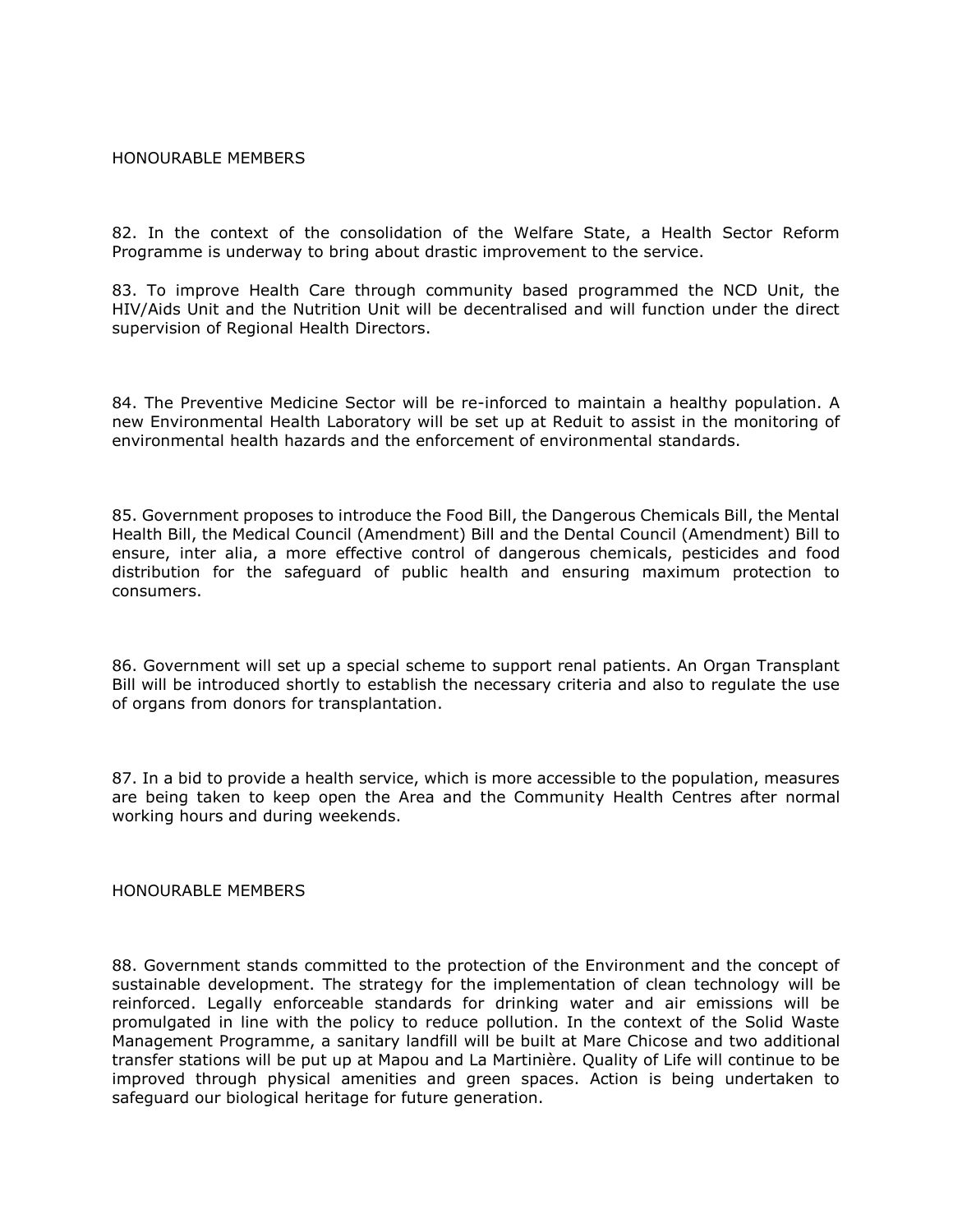#### HONOURABLE MEMBERS

82. In the context of the consolidation of the Welfare State, a Health Sector Reform Programme is underway to bring about drastic improvement to the service.

83. To improve Health Care through community based programmed the NCD Unit, the HIV/Aids Unit and the Nutrition Unit will be decentralised and will function under the direct supervision of Regional Health Directors.

84. The Preventive Medicine Sector will be re-inforced to maintain a healthy population. A new Environmental Health Laboratory will be set up at Reduit to assist in the monitoring of environmental health hazards and the enforcement of environmental standards.

85. Government proposes to introduce the Food Bill, the Dangerous Chemicals Bill, the Mental Health Bill, the Medical Council (Amendment) Bill and the Dental Council (Amendment) Bill to ensure, inter alia, a more effective control of dangerous chemicals, pesticides and food distribution for the safeguard of public health and ensuring maximum protection to consumers.

86. Government will set up a special scheme to support renal patients. An Organ Transplant Bill will be introduced shortly to establish the necessary criteria and also to regulate the use of organs from donors for transplantation.

87. In a bid to provide a health service, which is more accessible to the population, measures are being taken to keep open the Area and the Community Health Centres after normal working hours and during weekends.

HONOURABLE MEMBERS

88. Government stands committed to the protection of the Environment and the concept of sustainable development. The strategy for the implementation of clean technology will be reinforced. Legally enforceable standards for drinking water and air emissions will be promulgated in line with the policy to reduce pollution. In the context of the Solid Waste Management Programme, a sanitary landfill will be built at Mare Chicose and two additional transfer stations will be put up at Mapou and La Martinière. Quality of Life will continue to be improved through physical amenities and green spaces. Action is being undertaken to safeguard our biological heritage for future generation.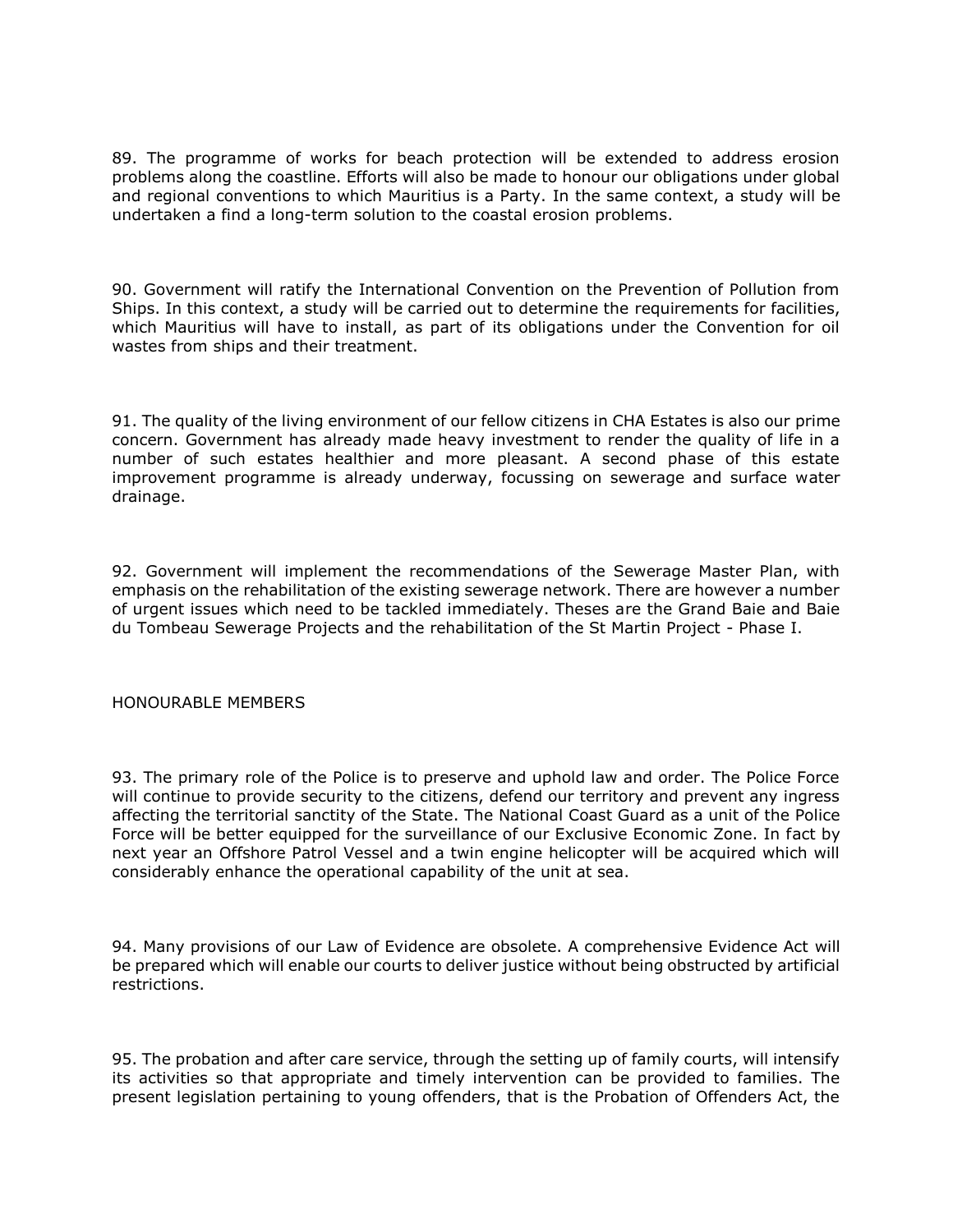89. The programme of works for beach protection will be extended to address erosion problems along the coastline. Efforts will also be made to honour our obligations under global and regional conventions to which Mauritius is a Party. In the same context, a study will be undertaken a find a long-term solution to the coastal erosion problems.

90. Government will ratify the International Convention on the Prevention of Pollution from Ships. In this context, a study will be carried out to determine the requirements for facilities, which Mauritius will have to install, as part of its obligations under the Convention for oil wastes from ships and their treatment.

91. The quality of the living environment of our fellow citizens in CHA Estates is also our prime concern. Government has already made heavy investment to render the quality of life in a number of such estates healthier and more pleasant. A second phase of this estate improvement programme is already underway, focussing on sewerage and surface water drainage.

92. Government will implement the recommendations of the Sewerage Master Plan, with emphasis on the rehabilitation of the existing sewerage network. There are however a number of urgent issues which need to be tackled immediately. Theses are the Grand Baie and Baie du Tombeau Sewerage Projects and the rehabilitation of the St Martin Project - Phase I.

## HONOURABLE MEMBERS

93. The primary role of the Police is to preserve and uphold law and order. The Police Force will continue to provide security to the citizens, defend our territory and prevent any ingress affecting the territorial sanctity of the State. The National Coast Guard as a unit of the Police Force will be better equipped for the surveillance of our Exclusive Economic Zone. In fact by next year an Offshore Patrol Vessel and a twin engine helicopter will be acquired which will considerably enhance the operational capability of the unit at sea.

94. Many provisions of our Law of Evidence are obsolete. A comprehensive Evidence Act will be prepared which will enable our courts to deliver justice without being obstructed by artificial restrictions.

95. The probation and after care service, through the setting up of family courts, will intensify its activities so that appropriate and timely intervention can be provided to families. The present legislation pertaining to young offenders, that is the Probation of Offenders Act, the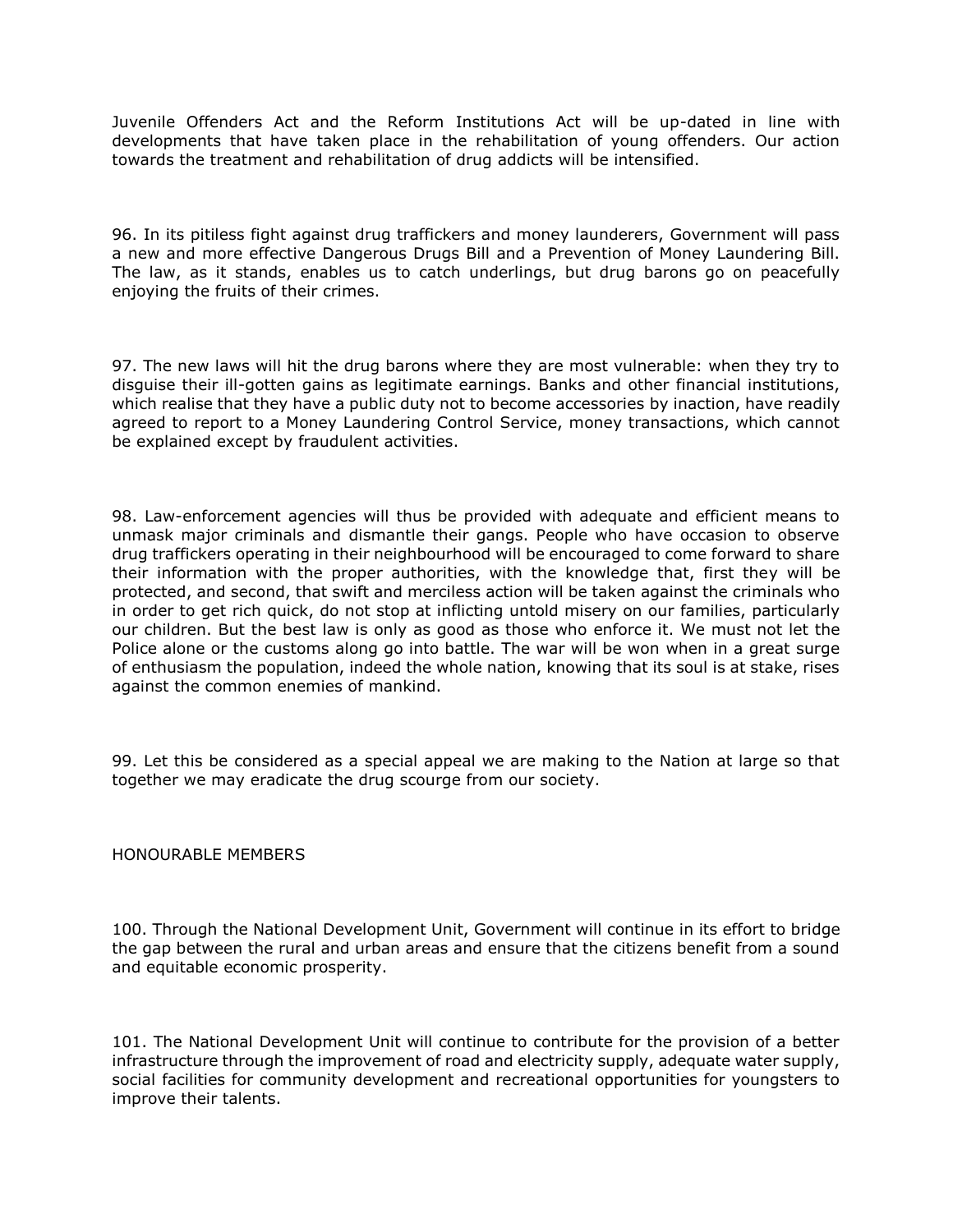Juvenile Offenders Act and the Reform Institutions Act will be up-dated in line with developments that have taken place in the rehabilitation of young offenders. Our action towards the treatment and rehabilitation of drug addicts will be intensified.

96. In its pitiless fight against drug traffickers and money launderers, Government will pass a new and more effective Dangerous Drugs Bill and a Prevention of Money Laundering Bill. The law, as it stands, enables us to catch underlings, but drug barons go on peacefully enjoying the fruits of their crimes.

97. The new laws will hit the drug barons where they are most vulnerable: when they try to disguise their ill-gotten gains as legitimate earnings. Banks and other financial institutions, which realise that they have a public duty not to become accessories by inaction, have readily agreed to report to a Money Laundering Control Service, money transactions, which cannot be explained except by fraudulent activities.

98. Law-enforcement agencies will thus be provided with adequate and efficient means to unmask major criminals and dismantle their gangs. People who have occasion to observe drug traffickers operating in their neighbourhood will be encouraged to come forward to share their information with the proper authorities, with the knowledge that, first they will be protected, and second, that swift and merciless action will be taken against the criminals who in order to get rich quick, do not stop at inflicting untold misery on our families, particularly our children. But the best law is only as good as those who enforce it. We must not let the Police alone or the customs along go into battle. The war will be won when in a great surge of enthusiasm the population, indeed the whole nation, knowing that its soul is at stake, rises against the common enemies of mankind.

99. Let this be considered as a special appeal we are making to the Nation at large so that together we may eradicate the drug scourge from our society.

### HONOURABLE MEMBERS

100. Through the National Development Unit, Government will continue in its effort to bridge the gap between the rural and urban areas and ensure that the citizens benefit from a sound and equitable economic prosperity.

101. The National Development Unit will continue to contribute for the provision of a better infrastructure through the improvement of road and electricity supply, adequate water supply, social facilities for community development and recreational opportunities for youngsters to improve their talents.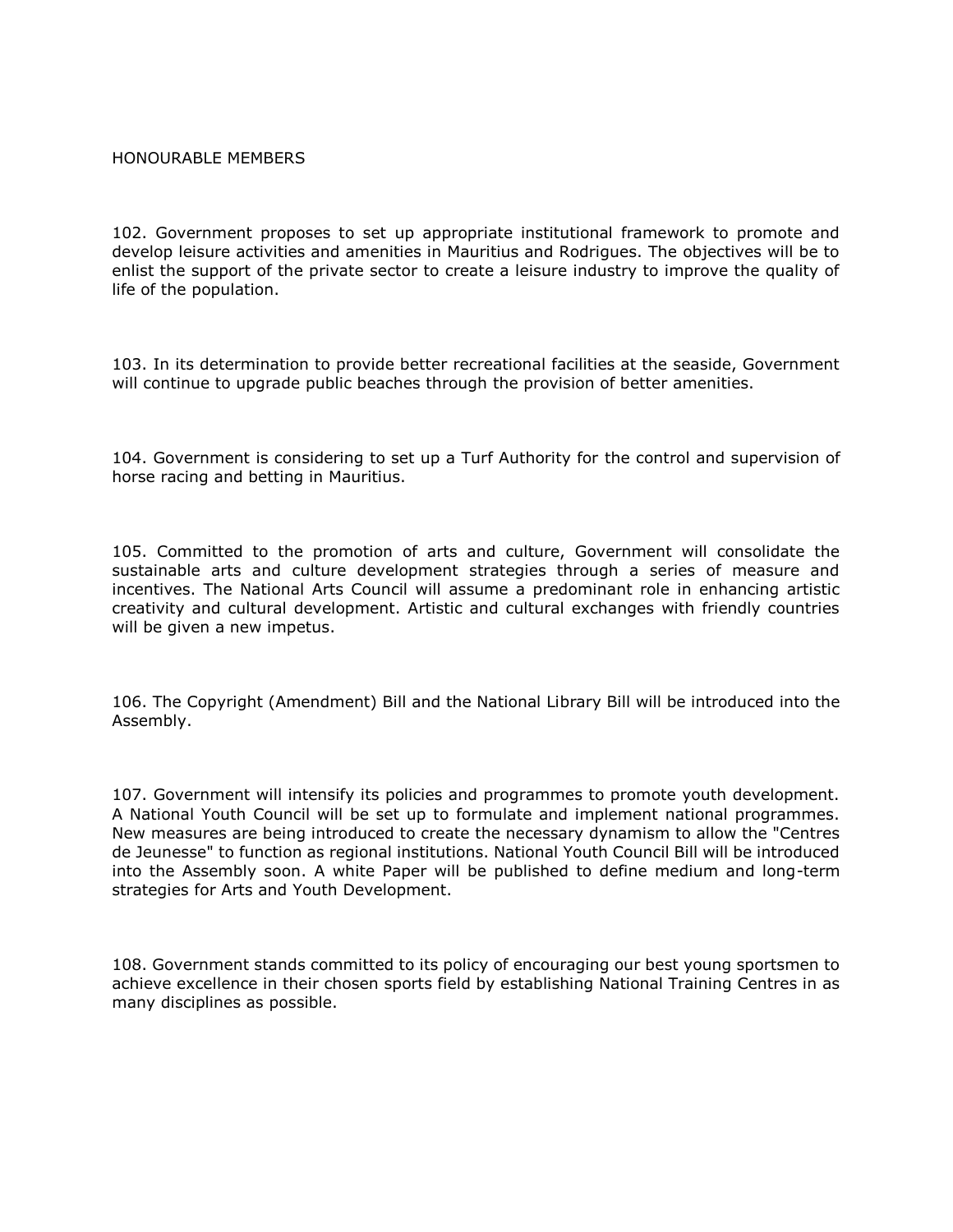### HONOURABLE MEMBERS

102. Government proposes to set up appropriate institutional framework to promote and develop leisure activities and amenities in Mauritius and Rodrigues. The objectives will be to enlist the support of the private sector to create a leisure industry to improve the quality of life of the population.

103. In its determination to provide better recreational facilities at the seaside, Government will continue to upgrade public beaches through the provision of better amenities.

104. Government is considering to set up a Turf Authority for the control and supervision of horse racing and betting in Mauritius.

105. Committed to the promotion of arts and culture, Government will consolidate the sustainable arts and culture development strategies through a series of measure and incentives. The National Arts Council will assume a predominant role in enhancing artistic creativity and cultural development. Artistic and cultural exchanges with friendly countries will be given a new impetus.

106. The Copyright (Amendment) Bill and the National Library Bill will be introduced into the Assembly.

107. Government will intensify its policies and programmes to promote youth development. A National Youth Council will be set up to formulate and implement national programmes. New measures are being introduced to create the necessary dynamism to allow the "Centres de Jeunesse" to function as regional institutions. National Youth Council Bill will be introduced into the Assembly soon. A white Paper will be published to define medium and long-term strategies for Arts and Youth Development.

108. Government stands committed to its policy of encouraging our best young sportsmen to achieve excellence in their chosen sports field by establishing National Training Centres in as many disciplines as possible.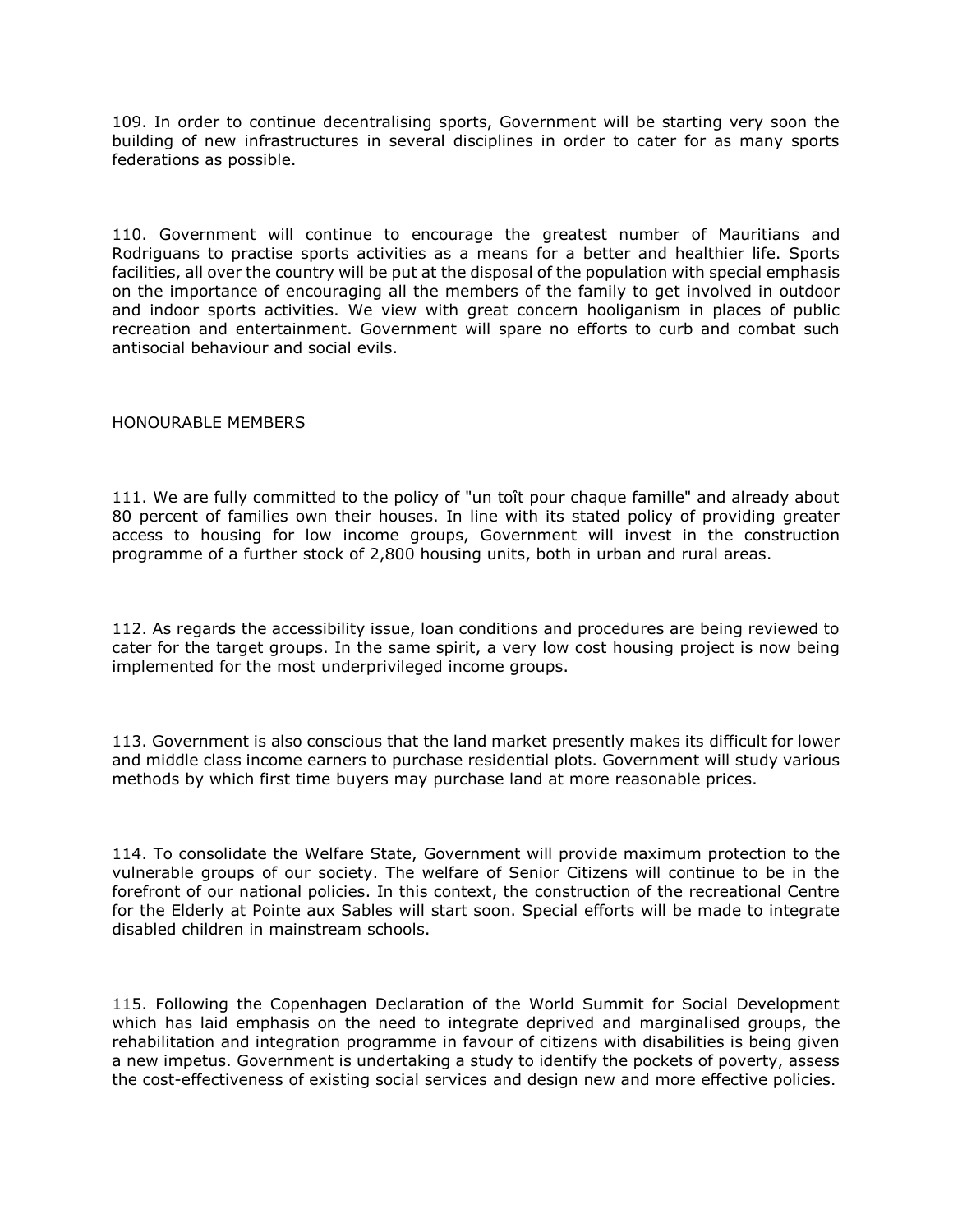109. In order to continue decentralising sports, Government will be starting very soon the building of new infrastructures in several disciplines in order to cater for as many sports federations as possible.

110. Government will continue to encourage the greatest number of Mauritians and Rodriguans to practise sports activities as a means for a better and healthier life. Sports facilities, all over the country will be put at the disposal of the population with special emphasis on the importance of encouraging all the members of the family to get involved in outdoor and indoor sports activities. We view with great concern hooliganism in places of public recreation and entertainment. Government will spare no efforts to curb and combat such antisocial behaviour and social evils.

### HONOURABLE MEMBERS

111. We are fully committed to the policy of "un toît pour chaque famille" and already about 80 percent of families own their houses. In line with its stated policy of providing greater access to housing for low income groups, Government will invest in the construction programme of a further stock of 2,800 housing units, both in urban and rural areas.

112. As regards the accessibility issue, loan conditions and procedures are being reviewed to cater for the target groups. In the same spirit, a very low cost housing project is now being implemented for the most underprivileged income groups.

113. Government is also conscious that the land market presently makes its difficult for lower and middle class income earners to purchase residential plots. Government will study various methods by which first time buyers may purchase land at more reasonable prices.

114. To consolidate the Welfare State, Government will provide maximum protection to the vulnerable groups of our society. The welfare of Senior Citizens will continue to be in the forefront of our national policies. In this context, the construction of the recreational Centre for the Elderly at Pointe aux Sables will start soon. Special efforts will be made to integrate disabled children in mainstream schools.

115. Following the Copenhagen Declaration of the World Summit for Social Development which has laid emphasis on the need to integrate deprived and marginalised groups, the rehabilitation and integration programme in favour of citizens with disabilities is being given a new impetus. Government is undertaking a study to identify the pockets of poverty, assess the cost-effectiveness of existing social services and design new and more effective policies.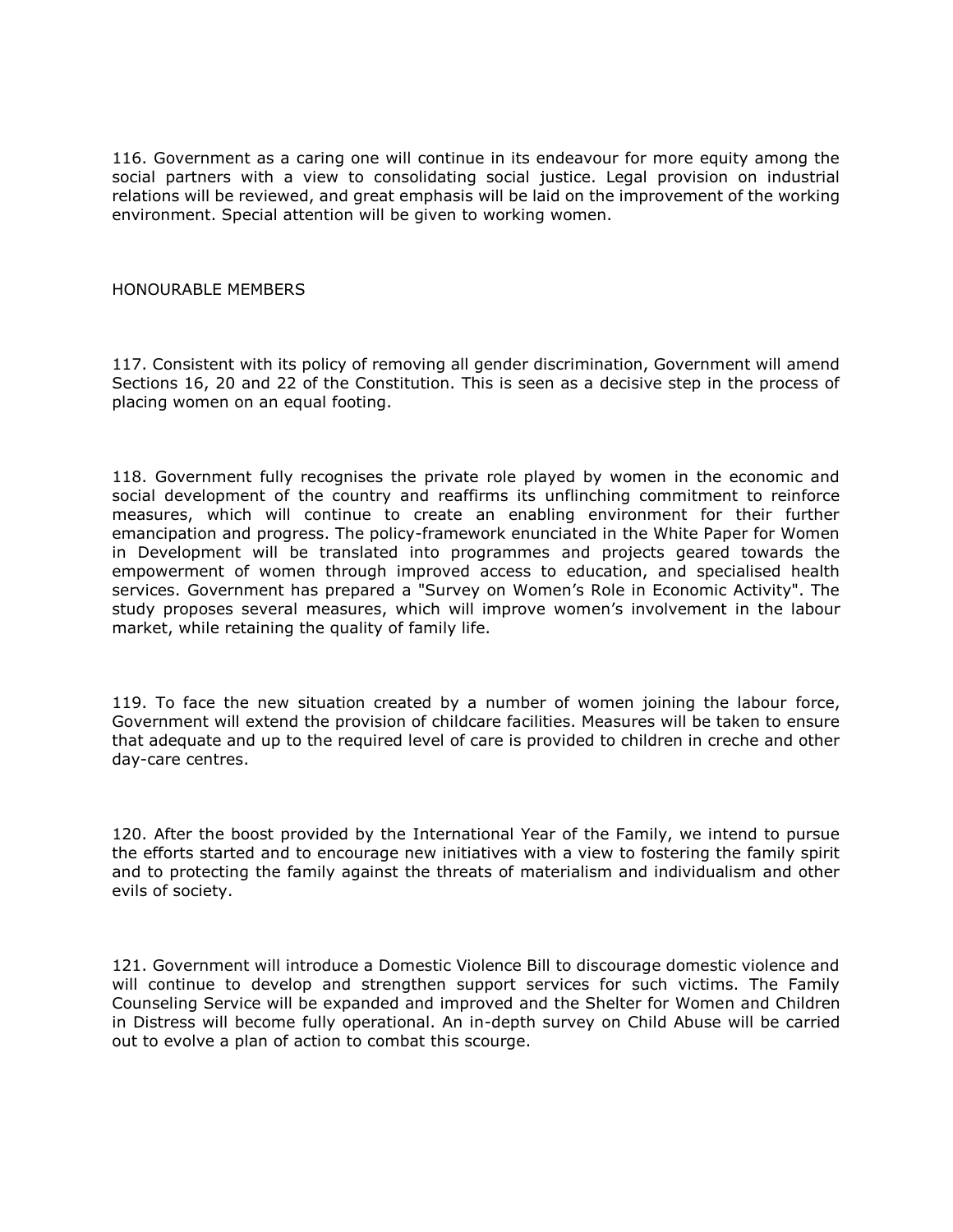116. Government as a caring one will continue in its endeavour for more equity among the social partners with a view to consolidating social justice. Legal provision on industrial relations will be reviewed, and great emphasis will be laid on the improvement of the working environment. Special attention will be given to working women.

#### HONOURABLE MEMBERS

117. Consistent with its policy of removing all gender discrimination, Government will amend Sections 16, 20 and 22 of the Constitution. This is seen as a decisive step in the process of placing women on an equal footing.

118. Government fully recognises the private role played by women in the economic and social development of the country and reaffirms its unflinching commitment to reinforce measures, which will continue to create an enabling environment for their further emancipation and progress. The policy-framework enunciated in the White Paper for Women in Development will be translated into programmes and projects geared towards the empowerment of women through improved access to education, and specialised health services. Government has prepared a "Survey on Women's Role in Economic Activity". The study proposes several measures, which will improve women's involvement in the labour market, while retaining the quality of family life.

119. To face the new situation created by a number of women joining the labour force, Government will extend the provision of childcare facilities. Measures will be taken to ensure that adequate and up to the required level of care is provided to children in creche and other day-care centres.

120. After the boost provided by the International Year of the Family, we intend to pursue the efforts started and to encourage new initiatives with a view to fostering the family spirit and to protecting the family against the threats of materialism and individualism and other evils of society.

121. Government will introduce a Domestic Violence Bill to discourage domestic violence and will continue to develop and strengthen support services for such victims. The Family Counseling Service will be expanded and improved and the Shelter for Women and Children in Distress will become fully operational. An in-depth survey on Child Abuse will be carried out to evolve a plan of action to combat this scourge.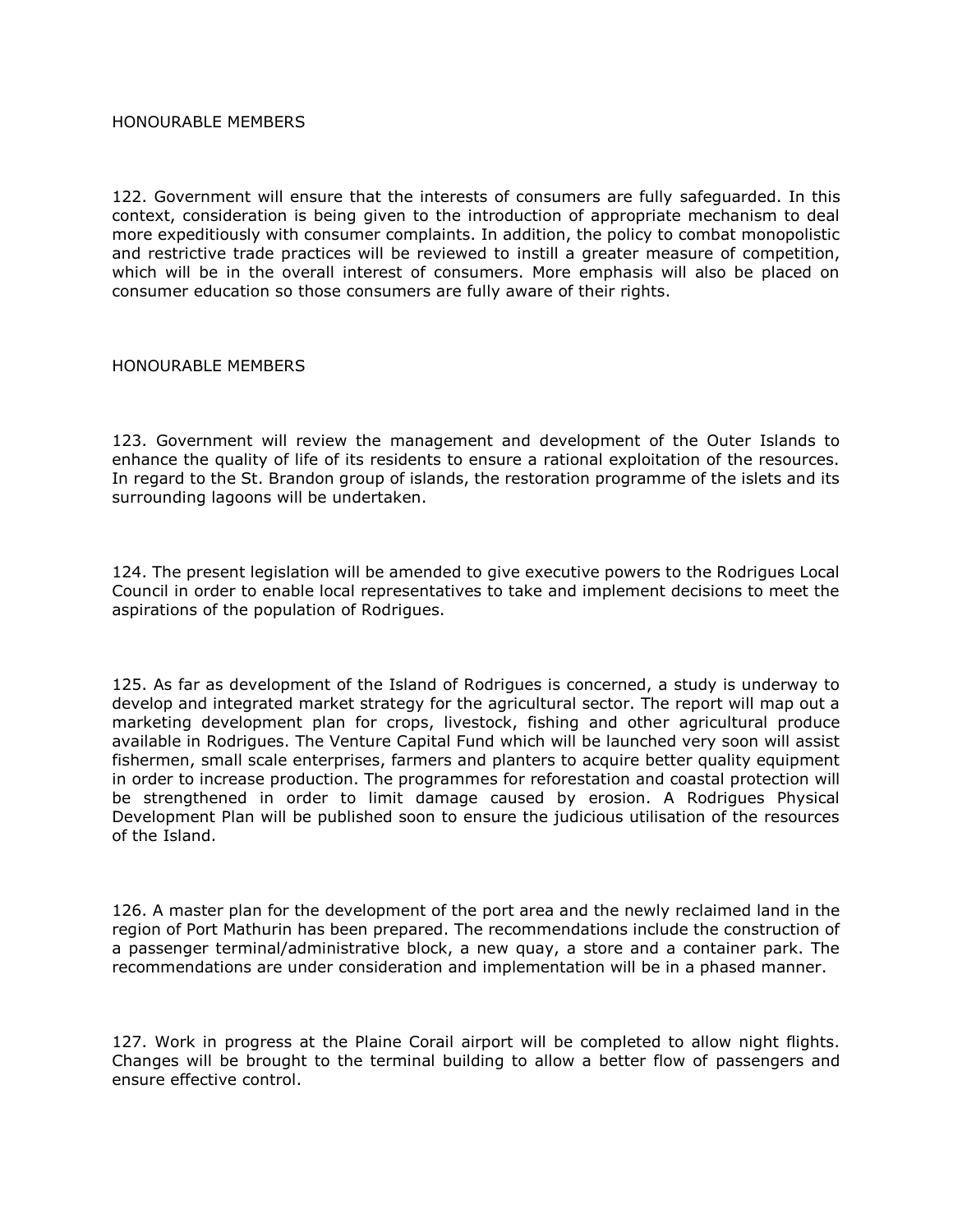#### HONOURABLE MEMBERS

122. Government will ensure that the interests of consumers are fully safeguarded. In this context, consideration is being given to the introduction of appropriate mechanism to deal more expeditiously with consumer complaints. In addition, the policy to combat monopolistic and restrictive trade practices will be reviewed to instill a greater measure of competition, which will be in the overall interest of consumers. More emphasis will also be placed on consumer education so those consumers are fully aware of their rights.

### HONOURABLE MEMBERS

123. Government will review the management and development of the Outer Islands to enhance the quality of life of its residents to ensure a rational exploitation of the resources. In regard to the St. Brandon group of islands, the restoration programme of the islets and its surrounding lagoons will be undertaken.

124. The present legislation will be amended to give executive powers to the Rodrigues Local Council in order to enable local representatives to take and implement decisions to meet the aspirations of the population of Rodrigues.

125. As far as development of the Island of Rodrigues is concerned, a study is underway to develop and integrated market strategy for the agricultural sector. The report will map out a marketing development plan for crops, livestock, fishing and other agricultural produce available in Rodrigues. The Venture Capital Fund which will be launched very soon will assist fishermen, small scale enterprises, farmers and planters to acquire better quality equipment in order to increase production. The programmes for reforestation and coastal protection will be strengthened in order to limit damage caused by erosion. A Rodrigues Physical Development Plan will be published soon to ensure the judicious utilisation of the resources of the Island.

126. A master plan for the development of the port area and the newly reclaimed land in the region of Port Mathurin has been prepared. The recommendations include the construction of a passenger terminal/administrative block, a new quay, a store and a container park. The recommendations are under consideration and implementation will be in a phased manner.

127. Work in progress at the Plaine Corail airport will be completed to allow night flights. Changes will be brought to the terminal building to allow a better flow of passengers and ensure effective control.